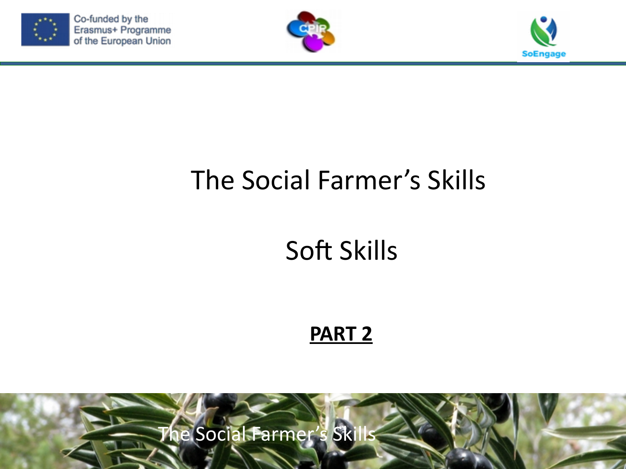

Co-funded by the Erasmus+ Programme of the European Union





#### The Social Farmer's Skills

### Soft Skills

#### **PART 2**

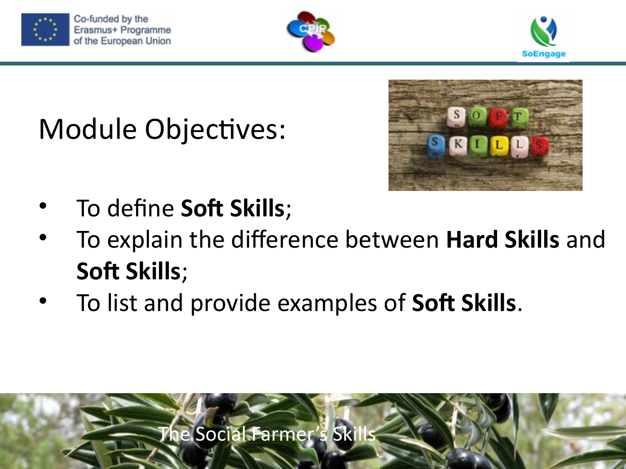





# Module Objectives:



- To define **Soft Skills**;
- To explain the difference between **Hard Skills** and **Soft Skills**;
- To list and provide examples of **Soft Skills**.

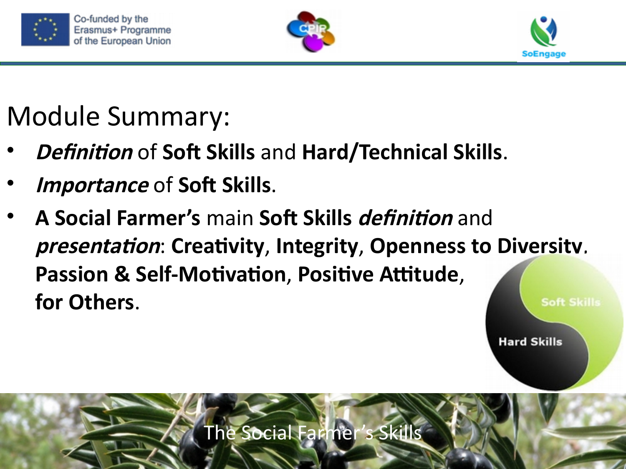





## Module Summary:

- **Definition** of **Soft Skills** and **Hard/Technical Skills**.
- **Importance** of **Soft Skills**.
- **A Social Farmer's** main **Soft Skills definition** and **presentation**: **Creativity**, **Integrity**, **Openness to Diversity**, **Passion & Self-Motivation, Positive Attitude, for Others**.**Soft Skills**

**Hard Skills** 

The Social Farmer's Skills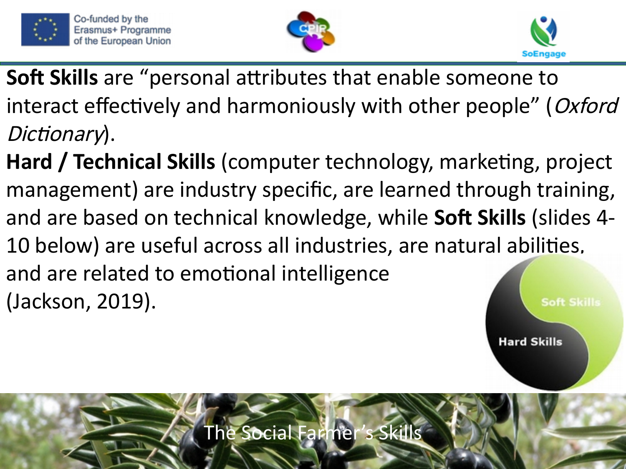





- **Soft Skills** are "personal attributes that enable someone to interact effectively and harmoniously with other people" (Oxford Dictionary).
- **Hard / Technical Skills** (computer technology, marketing, project management) are industry specific, are learned through training, and are based on technical knowledge, while **Soft Skills** (slides 4- 10 below) are useful across all industries, are natural abilities, and are related to emotional intelligence (Jackson, 2019).**Soft Skills**

**Hard Skills** 

The Social Farmer's Skills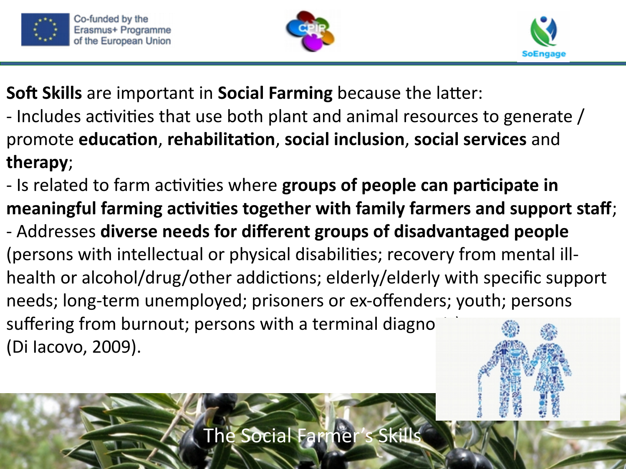





**Soft Skills** are important in **Social Farming** because the latter:

- Includes activities that use both plant and animal resources to generate / promote **education**, **rehabilitation**, **social inclusion**, **social services** and **therapy**;
- Is related to farm activities where **groups of people can participate in meaningful farming activities together with family farmers and support staff**;
- Addresses **diverse needs for different groups of disadvantaged people**  (persons with intellectual or physical disabilities; recovery from mental illhealth or alcohol/drug/other addictions; elderly/elderly with specific support needs; long-term unemployed; prisoners or ex-offenders; youth; persons suffering from burnout; persons with a terminal diagno (Di Iacovo, 2009).

The Social Farmer's Skil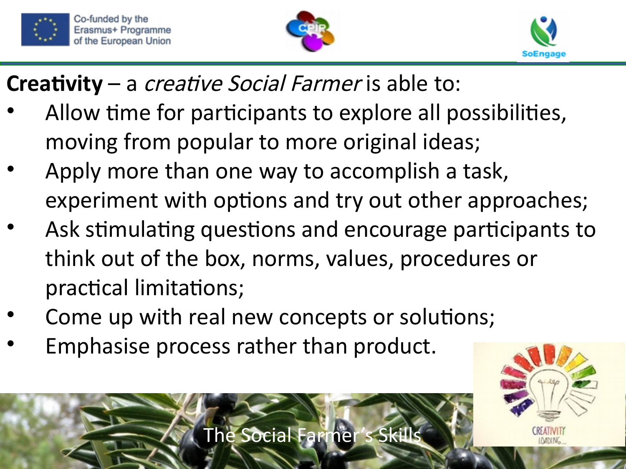





#### **Creativity** – a creative Social Farmer is able to:

- Allow time for participants to explore all possibilities, moving from popular to more original ideas;
- Apply more than one way to accomplish a task, experiment with options and try out other approaches;
- Ask stimulating questions and encourage participants to think out of the box, norms, values, procedures or practical limitations;
- Come up with real new concepts or solutions;
- Emphasise process rather than product.

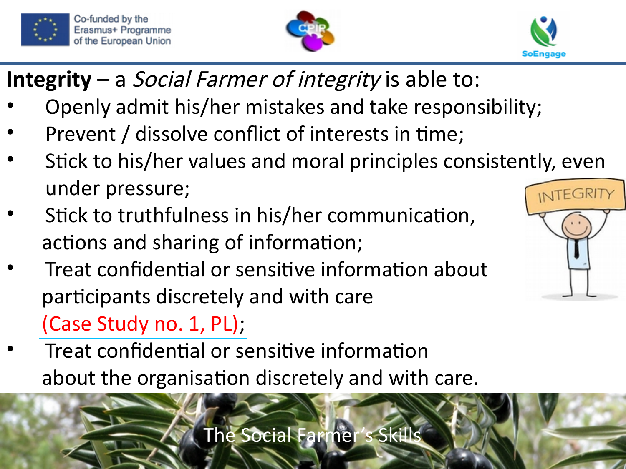





- **Integrity** a Social Farmer of integrity is able to:
- Openly admit his/her mistakes and take responsibility;
- Prevent / dissolve conflict of interests in time;
- Stick to his/her values and moral principles consistently, even under pressure;
- Stick to truthfulness in his/her communication, actions and sharing of information;
- Treat confidential or sensitive information about participants discretely and with care [\(Case Study no. 1, PL\);](https://www.soengage.eu/portfolios/pl1-malgorzata/)
- Treat confidential or sensitive information about the organisation discretely and with care.



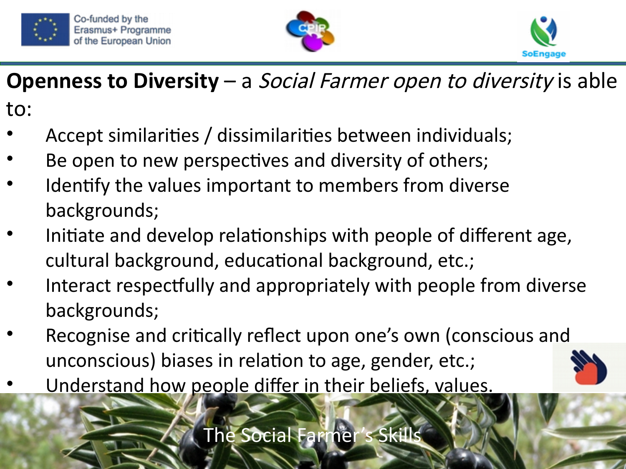





#### **Openness to Diversity** – a Social Farmer open to diversity is able

to:

- Accept similarities / dissimilarities between individuals;
- Be open to new perspectives and diversity of others;
- Identify the values important to members from diverse backgrounds;
- Initiate and develop relationships with people of different age, cultural background, educational background, etc.;
- Interact respectfully and appropriately with people from diverse backgrounds;
- Recognise and critically reflect upon one's own (conscious and unconscious) biases in relation to age, gender, etc.;
- Understand how people differ in their beliefs, values.



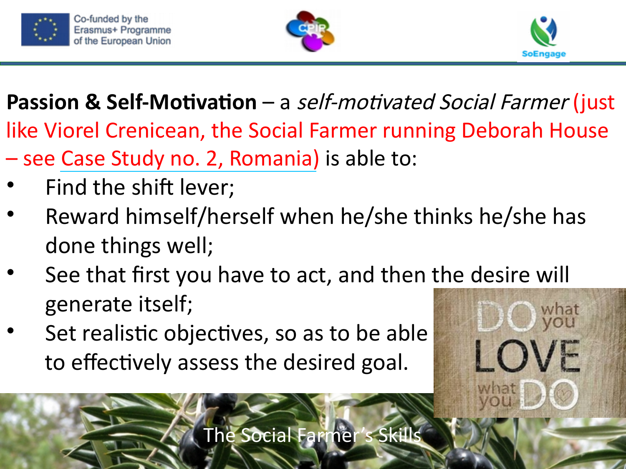





LOVE

**Passion & Self-Motivation** – a self-motivated Social Farmer (just like Viorel Crenicean, the Social Farmer running Deborah House

- see [Case Study no. 2, Romania\)](https://www.soengage.eu/portfolios/ro2-fundatia/) is able to:
- Find the shift lever;
- Reward himself/herself when he/she thinks he/she has done things well;
- See that first you have to act, and then the desire will generate itself;
- Set realistic objectives, so as to be able to effectively assess the desired goal.

The Social Farmer's Skills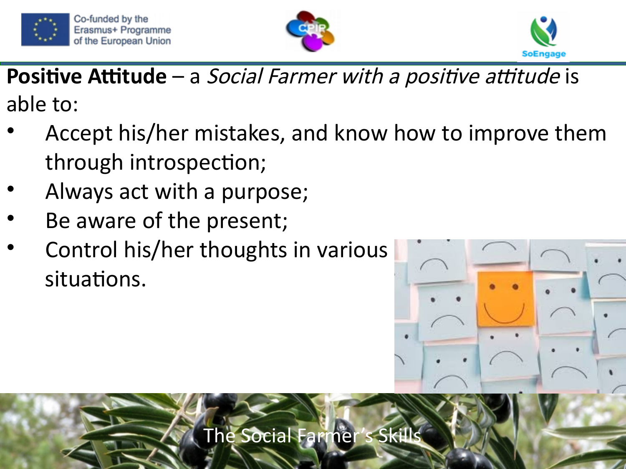





**Positive Attitude** – a *Social Farmer with a positive attitude* is able to:

- Accept his/her mistakes, and know how to improve them through introspection;
- Always act with a purpose;
- Be aware of the present;
- Control his/her thoughts in various situations.

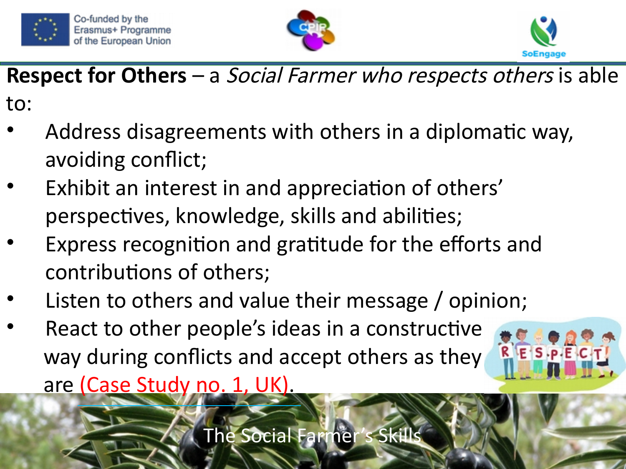





 $R$   $E$   $S$   $P$   $E$ 

#### **Respect for Others** – a Social Farmer who respects others is able

to:

- Address disagreements with others in a diplomatic way, avoiding conflict;
- Exhibit an interest in and appreciation of others' perspectives, knowledge, skills and abilities;
- Express recognition and gratitude for the efforts and contributions of others;
- Listen to others and value their message / opinion;
- React to other people's ideas in a constructive way during conflicts and accept others as they are [\(Case Study no. 1, UK\).](https://www.soengage.eu/portfolios/annagh-ni-uk/)

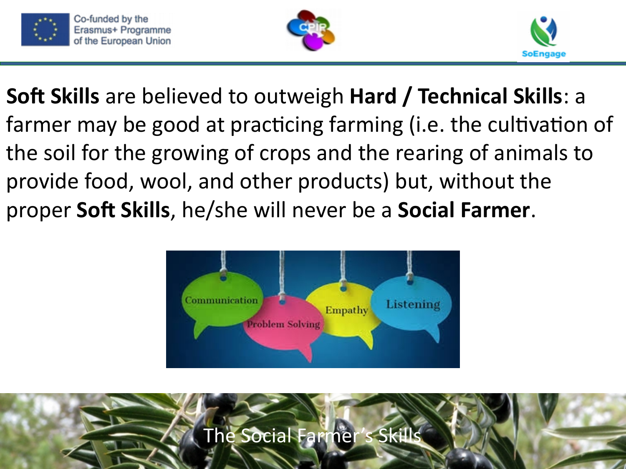





**Soft Skills** are believed to outweigh **Hard / Technical Skills**: a farmer may be good at practicing farming (i.e. the cultivation of the soil for the growing of crops and the rearing of animals to provide food, wool, and other products) but, without the proper **Soft Skills**, he/she will never be a **Social Farmer**.